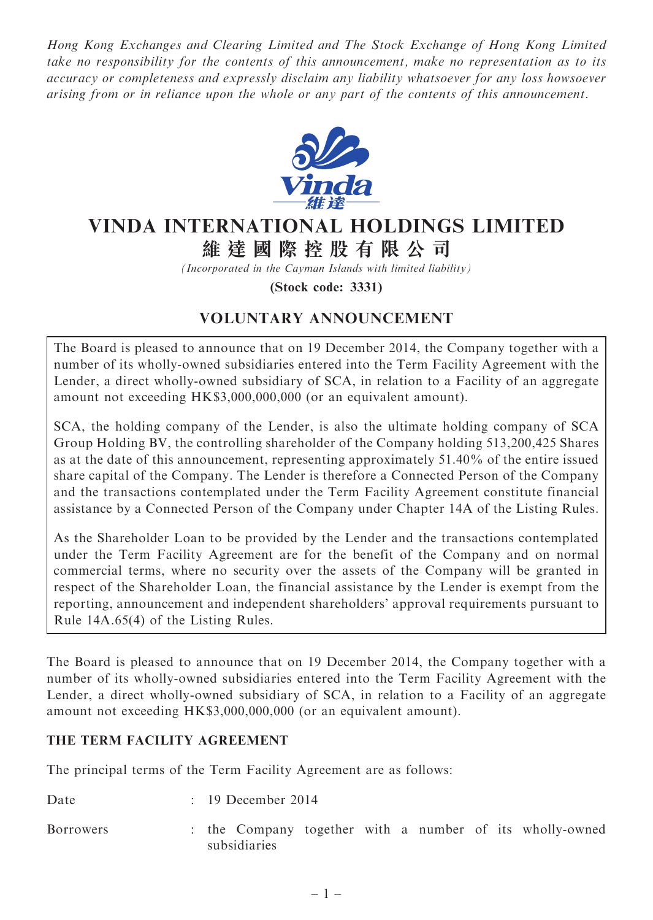Hong Kong Exchanges and Clearing Limited and The Stock Exchange of Hong Kong Limited take no responsibility for the contents of this announcement, make no representation as to its accuracy or completeness and expressly disclaim any liability whatsoever for any loss howsoever arising from or in reliance upon the whole or any part of the contents of this announcement.



# VINDA INTERNATIONAL HOLDINGS LIMITED 維 達 國 際 控 股 有 限 公 司

(Incorporated in the Cayman Islands with limited liability)

(Stock code: 3331)

# VOLUNTARY ANNOUNCEMENT

The Board is pleased to announce that on 19 December 2014, the Company together with a number of its wholly-owned subsidiaries entered into the Term Facility Agreement with the Lender, a direct wholly-owned subsidiary of SCA, in relation to a Facility of an aggregate amount not exceeding HK\$3,000,000,000 (or an equivalent amount).

SCA, the holding company of the Lender, is also the ultimate holding company of SCA Group Holding BV, the controlling shareholder of the Company holding 513,200,425 Shares as at the date of this announcement, representing approximately 51.40% of the entire issued share capital of the Company. The Lender is therefore a Connected Person of the Company and the transactions contemplated under the Term Facility Agreement constitute financial assistance by a Connected Person of the Company under Chapter 14A of the Listing Rules.

As the Shareholder Loan to be provided by the Lender and the transactions contemplated under the Term Facility Agreement are for the benefit of the Company and on normal commercial terms, where no security over the assets of the Company will be granted in respect of the Shareholder Loan, the financial assistance by the Lender is exempt from the reporting, announcement and independent shareholders' approval requirements pursuant to Rule 14A.65(4) of the Listing Rules.

The Board is pleased to announce that on 19 December 2014, the Company together with a number of its wholly-owned subsidiaries entered into the Term Facility Agreement with the Lender, a direct wholly-owned subsidiary of SCA, in relation to a Facility of an aggregate amount not exceeding HK\$3,000,000,000 (or an equivalent amount).

#### THE TERM FACILITY AGREEMENT

The principal terms of the Term Facility Agreement are as follows:

Date : 19 December 2014

Borrowers : the Company together with a number of its wholly-owned subsidiaries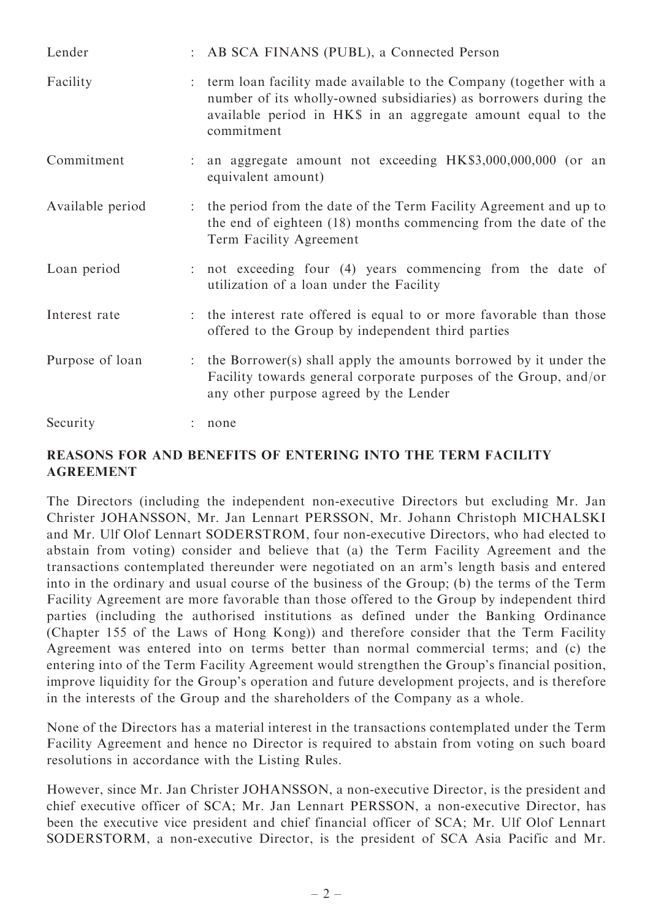| Lender           | : AB SCA FINANS (PUBL), a Connected Person                                                                                                                                                                          |
|------------------|---------------------------------------------------------------------------------------------------------------------------------------------------------------------------------------------------------------------|
| Facility         | term loan facility made available to the Company (together with a<br>number of its wholly-owned subsidiaries) as borrowers during the<br>available period in HK\$ in an aggregate amount equal to the<br>commitment |
| Commitment       | an aggregate amount not exceeding HK\$3,000,000,000 (or an<br>equivalent amount)                                                                                                                                    |
| Available period | the period from the date of the Term Facility Agreement and up to<br>the end of eighteen (18) months commencing from the date of the<br>Term Facility Agreement                                                     |
| Loan period      | : not exceeding four (4) years commencing from the date of<br>utilization of a loan under the Facility                                                                                                              |
| Interest rate    | : the interest rate offered is equal to or more favorable than those<br>offered to the Group by independent third parties                                                                                           |
| Purpose of loan  | : the Borrower(s) shall apply the amounts borrowed by it under the<br>Facility towards general corporate purposes of the Group, and/or<br>any other purpose agreed by the Lender                                    |
| Security         | none                                                                                                                                                                                                                |

#### REASONS FOR AND BENEFITS OF ENTERING INTO THE TERM FACILITY AGREEMENT

The Directors (including the independent non-executive Directors but excluding Mr. Jan Christer JOHANSSON, Mr. Jan Lennart PERSSON, Mr. Johann Christoph MICHALSKI and Mr. Ulf Olof Lennart SODERSTROM, four non-executive Directors, who had elected to abstain from voting) consider and believe that (a) the Term Facility Agreement and the transactions contemplated thereunder were negotiated on an arm's length basis and entered into in the ordinary and usual course of the business of the Group; (b) the terms of the Term Facility Agreement are more favorable than those offered to the Group by independent third parties (including the authorised institutions as defined under the Banking Ordinance (Chapter 155 of the Laws of Hong Kong)) and therefore consider that the Term Facility Agreement was entered into on terms better than normal commercial terms; and (c) the entering into of the Term Facility Agreement would strengthen the Group's financial position, improve liquidity for the Group's operation and future development projects, and is therefore in the interests of the Group and the shareholders of the Company as a whole.

None of the Directors has a material interest in the transactions contemplated under the Term Facility Agreement and hence no Director is required to abstain from voting on such board resolutions in accordance with the Listing Rules.

However, since Mr. Jan Christer JOHANSSON, a non-executive Director, is the president and chief executive officer of SCA; Mr. Jan Lennart PERSSON, a non-executive Director, has been the executive vice president and chief financial officer of SCA; Mr. Ulf Olof Lennart SODERSTORM, a non-executive Director, is the president of SCA Asia Pacific and Mr.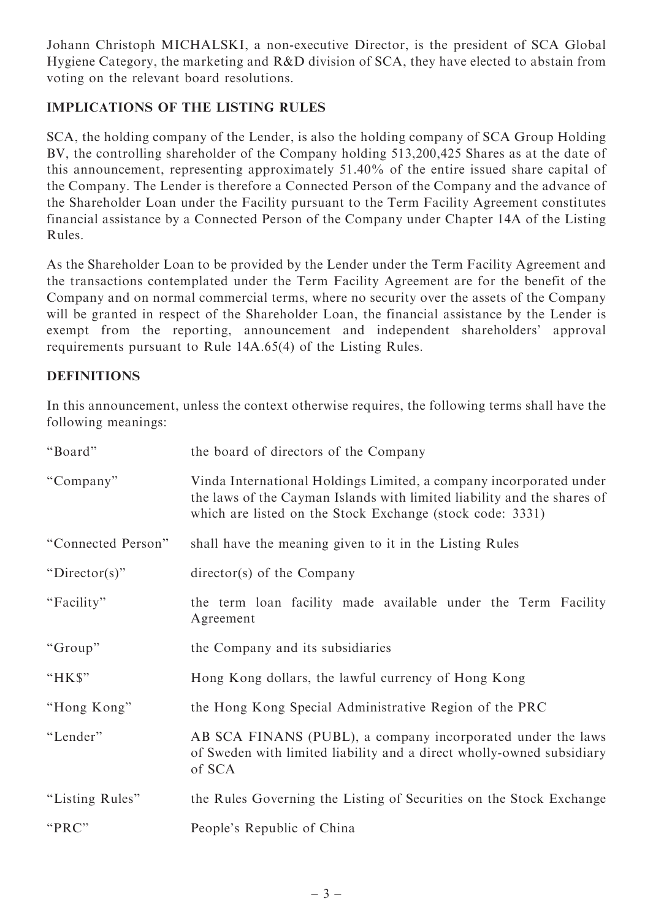Johann Christoph MICHALSKI, a non-executive Director, is the president of SCA Global Hygiene Category, the marketing and R&D division of SCA, they have elected to abstain from voting on the relevant board resolutions.

## IMPLICATIONS OF THE LISTING RULES

SCA, the holding company of the Lender, is also the holding company of SCA Group Holding BV, the controlling shareholder of the Company holding 513,200,425 Shares as at the date of this announcement, representing approximately 51.40% of the entire issued share capital of the Company. The Lender is therefore a Connected Person of the Company and the advance of the Shareholder Loan under the Facility pursuant to the Term Facility Agreement constitutes financial assistance by a Connected Person of the Company under Chapter 14A of the Listing Rules.

As the Shareholder Loan to be provided by the Lender under the Term Facility Agreement and the transactions contemplated under the Term Facility Agreement are for the benefit of the Company and on normal commercial terms, where no security over the assets of the Company will be granted in respect of the Shareholder Loan, the financial assistance by the Lender is exempt from the reporting, announcement and independent shareholders' approval requirements pursuant to Rule 14A.65(4) of the Listing Rules.

### DEFINITIONS

In this announcement, unless the context otherwise requires, the following terms shall have the following meanings:

| "Board"            | the board of directors of the Company                                                                                                                                                                      |
|--------------------|------------------------------------------------------------------------------------------------------------------------------------------------------------------------------------------------------------|
| "Company"          | Vinda International Holdings Limited, a company incorporated under<br>the laws of the Cayman Islands with limited liability and the shares of<br>which are listed on the Stock Exchange (stock code: 3331) |
| "Connected Person" | shall have the meaning given to it in the Listing Rules                                                                                                                                                    |
| " $Director(s)$ "  | $\text{directory}(s)$ of the Company                                                                                                                                                                       |
| "Facility"         | the term loan facility made available under the Term Facility<br>Agreement                                                                                                                                 |
| "Group"            | the Company and its subsidiaries                                                                                                                                                                           |
| "HK\$"             | Hong Kong dollars, the lawful currency of Hong Kong                                                                                                                                                        |
| "Hong Kong"        | the Hong Kong Special Administrative Region of the PRC                                                                                                                                                     |
| "Lender"           | AB SCA FINANS (PUBL), a company incorporated under the laws<br>of Sweden with limited liability and a direct wholly-owned subsidiary<br>of SCA                                                             |
| "Listing Rules"    | the Rules Governing the Listing of Securities on the Stock Exchange                                                                                                                                        |
| "PRC"              | People's Republic of China                                                                                                                                                                                 |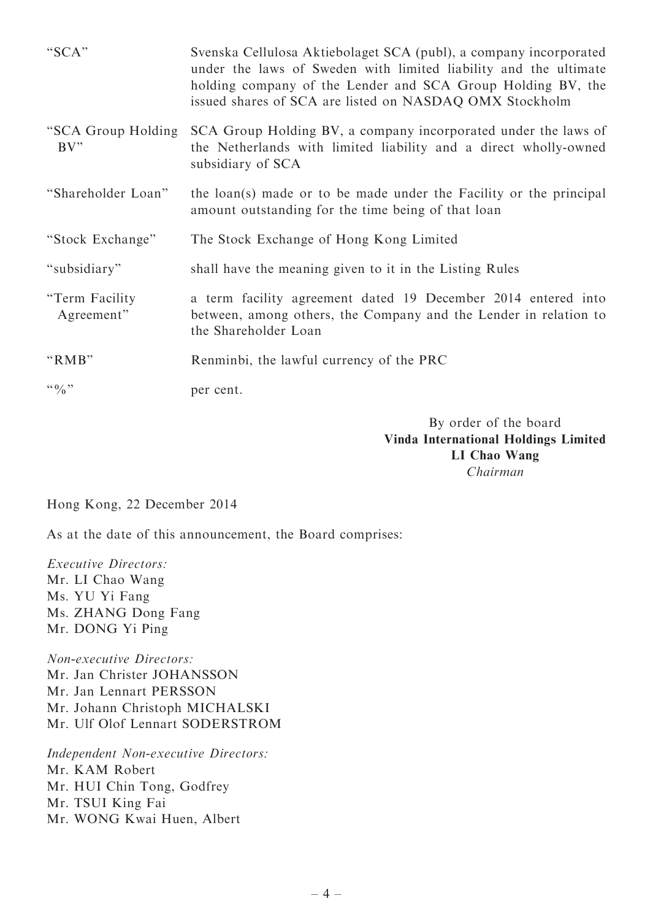| "SCA"                           | Svenska Cellulosa Aktiebolaget SCA (publ), a company incorporated<br>under the laws of Sweden with limited liability and the ultimate<br>holding company of the Lender and SCA Group Holding BV, the<br>issued shares of SCA are listed on NASDAQ OMX Stockholm |
|---------------------------------|-----------------------------------------------------------------------------------------------------------------------------------------------------------------------------------------------------------------------------------------------------------------|
| "SCA Group Holding<br>BV''      | SCA Group Holding BV, a company incorporated under the laws of<br>the Netherlands with limited liability and a direct wholly-owned<br>subsidiary of SCA                                                                                                         |
| "Shareholder Loan"              | the loan(s) made or to be made under the Facility or the principal<br>amount outstanding for the time being of that loan                                                                                                                                        |
| "Stock Exchange"                | The Stock Exchange of Hong Kong Limited                                                                                                                                                                                                                         |
| "subsidiary"                    | shall have the meaning given to it in the Listing Rules                                                                                                                                                                                                         |
| "Term Facility"<br>Agreement"   | a term facility agreement dated 19 December 2014 entered into<br>between, among others, the Company and the Lender in relation to<br>the Shareholder Loan                                                                                                       |
| "RMB"                           | Renminbi, the lawful currency of the PRC                                                                                                                                                                                                                        |
| $\lq\lq 0$ , $\lq\lq 0$ , $\lq$ | per cent.                                                                                                                                                                                                                                                       |

By order of the board Vinda International Holdings Limited LI Chao Wang Chairman

Hong Kong, 22 December 2014

As at the date of this announcement, the Board comprises:

Executive Directors: Mr. LI Chao Wang Ms. YU Yi Fang Ms. ZHANG Dong Fang Mr. DONG Yi Ping

Non-executive Directors: Mr. Jan Christer JOHANSSON Mr. Jan Lennart PERSSON Mr. Johann Christoph MICHALSKI Mr. Ulf Olof Lennart SODERSTROM

Independent Non-executive Directors: Mr. KAM Robert Mr. HUI Chin Tong, Godfrey Mr. TSUI King Fai Mr. WONG Kwai Huen, Albert